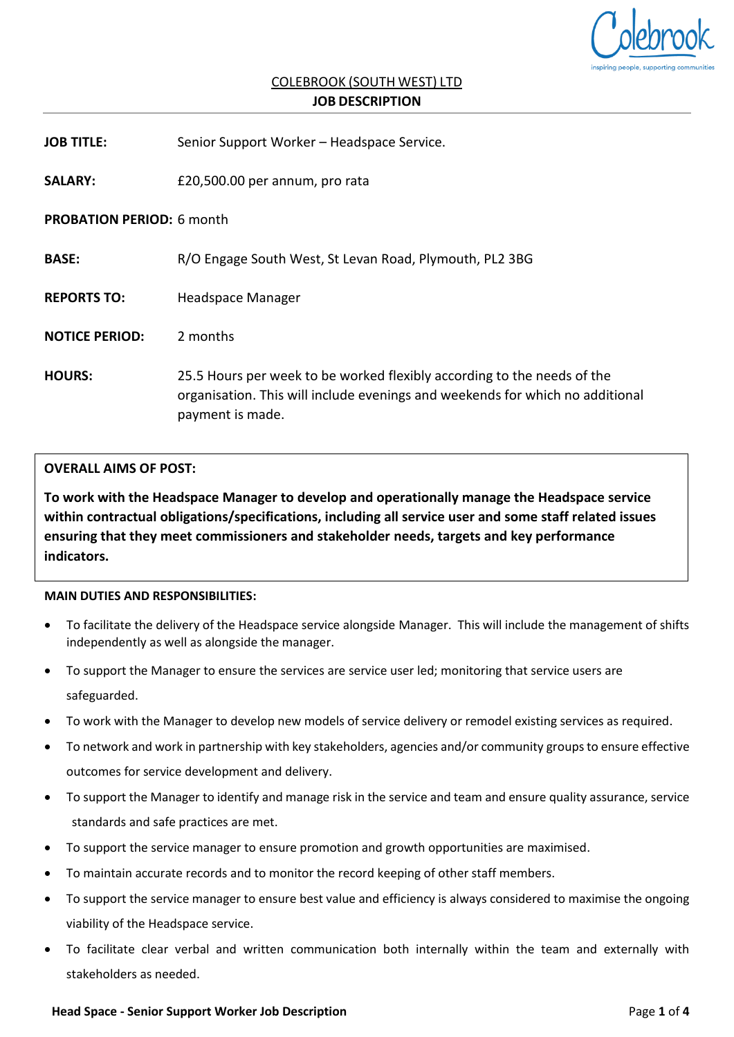

# COLEBROOK (SOUTH WEST) LTD **JOB DESCRIPTION**

| <b>JOB TITLE:</b>                | Senior Support Worker - Headspace Service.                                                                                                                                   |  |  |
|----------------------------------|------------------------------------------------------------------------------------------------------------------------------------------------------------------------------|--|--|
| <b>SALARY:</b>                   | £20,500.00 per annum, pro rata                                                                                                                                               |  |  |
| <b>PROBATION PERIOD: 6 month</b> |                                                                                                                                                                              |  |  |
| <b>BASE:</b>                     | R/O Engage South West, St Levan Road, Plymouth, PL2 3BG                                                                                                                      |  |  |
| <b>REPORTS TO:</b>               | Headspace Manager                                                                                                                                                            |  |  |
| <b>NOTICE PERIOD:</b>            | 2 months                                                                                                                                                                     |  |  |
| <b>HOURS:</b>                    | 25.5 Hours per week to be worked flexibly according to the needs of the<br>organisation. This will include evenings and weekends for which no additional<br>payment is made. |  |  |

# **OVERALL AIMS OF POST:**

**To work with the Headspace Manager to develop and operationally manage the Headspace service within contractual obligations/specifications, including all service user and some staff related issues ensuring that they meet commissioners and stakeholder needs, targets and key performance indicators.**

#### **MAIN DUTIES AND RESPONSIBILITIES:**

- To facilitate the delivery of the Headspace service alongside Manager. This will include the management of shifts independently as well as alongside the manager.
- To support the Manager to ensure the services are service user led; monitoring that service users are safeguarded.
- To work with the Manager to develop new models of service delivery or remodel existing services as required.
- To network and work in partnership with key stakeholders, agencies and/or community groups to ensure effective outcomes for service development and delivery.
- To support the Manager to identify and manage risk in the service and team and ensure quality assurance, service standards and safe practices are met.
- To support the service manager to ensure promotion and growth opportunities are maximised.
- To maintain accurate records and to monitor the record keeping of other staff members.
- To support the service manager to ensure best value and efficiency is always considered to maximise the ongoing viability of the Headspace service.
- To facilitate clear verbal and written communication both internally within the team and externally with stakeholders as needed.

#### **Head Space - Senior Support Worker Job Description** Page **1** of **4**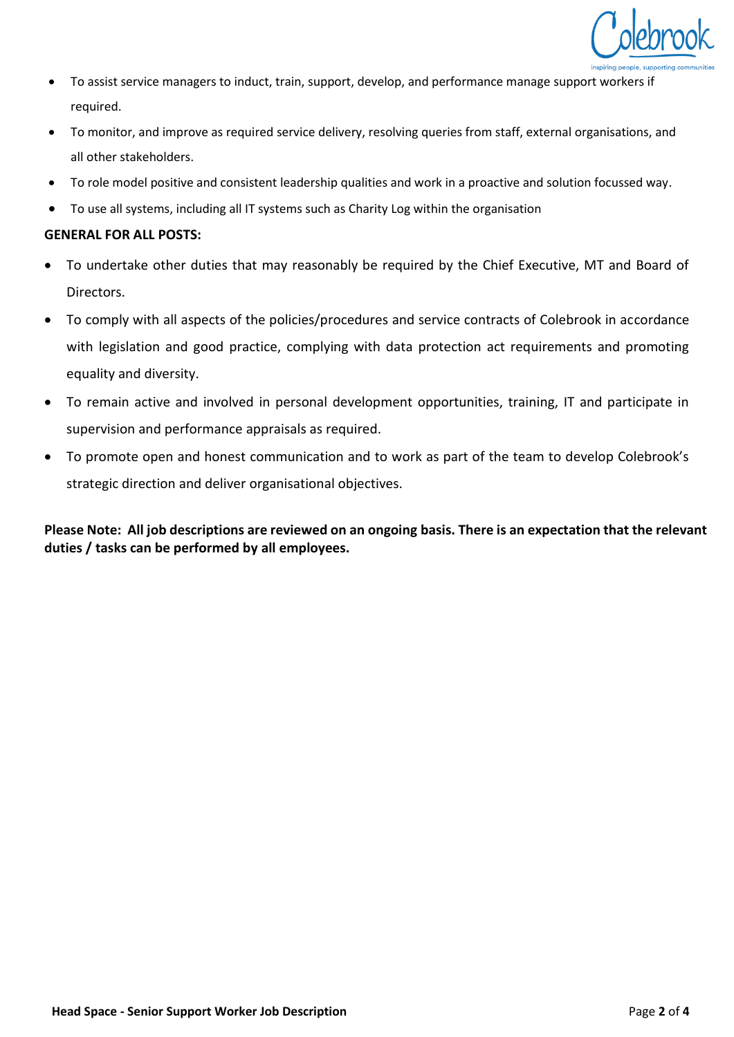

- To assist service managers to induct, train, support, develop, and performance manage support workers if required.
- To monitor, and improve as required service delivery, resolving queries from staff, external organisations, and all other stakeholders.
- To role model positive and consistent leadership qualities and work in a proactive and solution focussed way.
- To use all systems, including all IT systems such as Charity Log within the organisation

# **GENERAL FOR ALL POSTS:**

- To undertake other duties that may reasonably be required by the Chief Executive, MT and Board of Directors.
- To comply with all aspects of the policies/procedures and service contracts of Colebrook in accordance with legislation and good practice, complying with data protection act requirements and promoting equality and diversity.
- To remain active and involved in personal development opportunities, training, IT and participate in supervision and performance appraisals as required.
- To promote open and honest communication and to work as part of the team to develop Colebrook's strategic direction and deliver organisational objectives.

**Please Note: All job descriptions are reviewed on an ongoing basis. There is an expectation that the relevant duties / tasks can be performed by all employees.**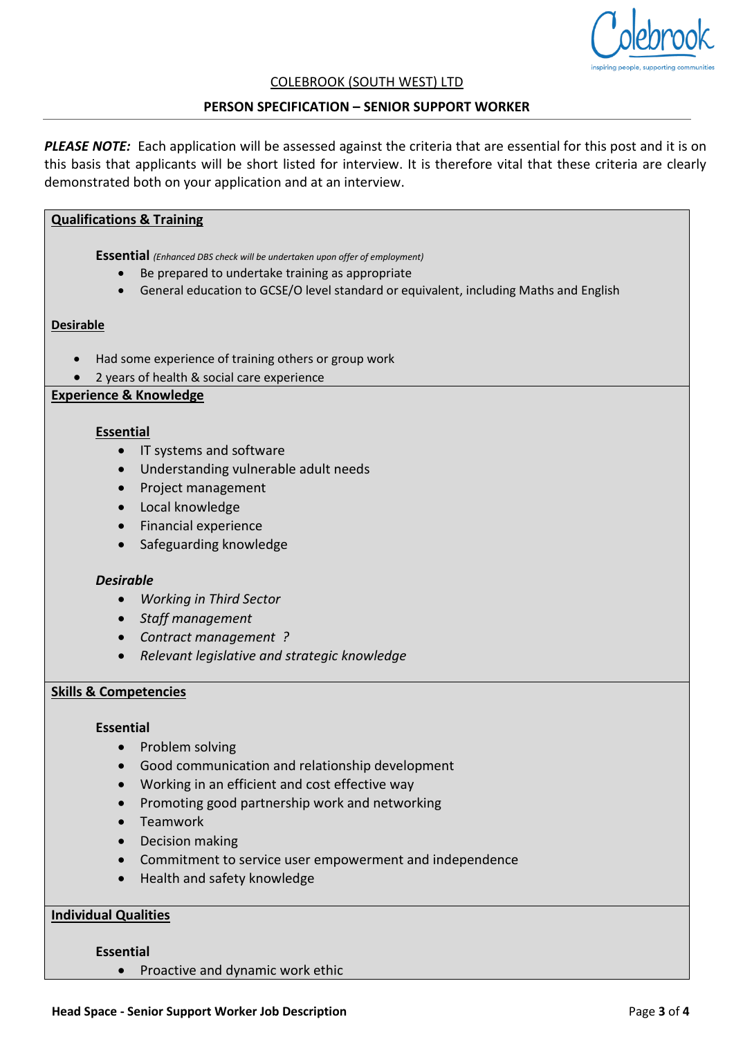

#### COLEBROOK (SOUTH WEST) LTD

#### **PERSON SPECIFICATION – SENIOR SUPPORT WORKER**

*PLEASE NOTE:* Each application will be assessed against the criteria that are essential for this post and it is on this basis that applicants will be short listed for interview. It is therefore vital that these criteria are clearly demonstrated both on your application and at an interview.

## **Qualifications & Training**

**Essential** *(Enhanced DBS check will be undertaken upon offer of employment)*

- Be prepared to undertake training as appropriate
- General education to GCSE/O level standard or equivalent, including Maths and English

#### **Desirable**

- Had some experience of training others or group work
- 2 years of health & social care experience

# **Experience & Knowledge**

#### **Essential**

- IT systems and software
- Understanding vulnerable adult needs
- Project management
- Local knowledge
- Financial experience
- Safeguarding knowledge

#### *Desirable*

- *Working in Third Sector*
- *Staff management*
- *Contract management ?*
- *Relevant legislative and strategic knowledge*

## **Skills & Competencies**

#### **Essential**

- Problem solving
- Good communication and relationship development
- Working in an efficient and cost effective way
- Promoting good partnership work and networking
- Teamwork
- Decision making
- Commitment to service user empowerment and independence
- Health and safety knowledge

# **Individual Qualities**

#### **Essential**

• Proactive and dynamic work ethic